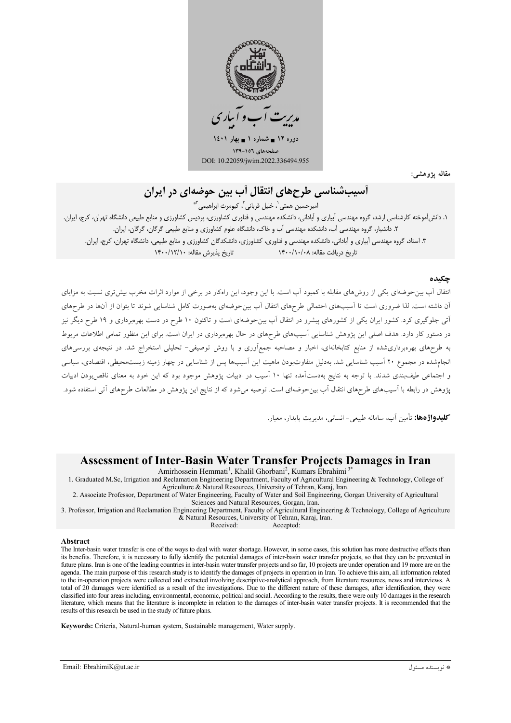

مقاله پژوهشی:

# أسب شناسی طرحهای انتقال آب بین حوضهای در ایران

امبرحسين همتي<sup>"</sup>، خليل قرباني<sup>"،</sup> كيومرث ابراهيمي<sup>"</sup>\*

۱. دانشآموخته کارشناسی ارشد، گروه مهندسی آبیاری و آبادانی، دانشکده مهندسی و فناوری کشاورزی، کشاورزی و منابع طبیعی دانشگاه تهران، کرج، ایران. ۲. دانشیار، گروه مهندسی آب، دانشکده مهندسی آب و خاک، دانشگاه علوم کشاورزی و منابع طبیعی گرگان، گرگان، ایران. ۳. استاد، گروه مهندسی آبیاری و آبادانی، دانشکده مهندسی و فناوری، کشاورزی، دانشکدگان کشاورزی و منابع طبیعی، دانشگاه تهران، کرج، ایران. تاریخ دریافت مقاله: ۱۴۰۰/۱۰/۰۸ ۱۴۰۰/۱۰/۰۸ تاریخ پذیرش مقاله: ۱۴۰۰/۱۲/۱۰

#### جكىدە

انتقال آب بین-حوضهای یکی از روش های مقابله با کمبود آب است. با این وجود، این راهکار در برخی از موارد اثرات مخرب بیش تری نسبت به مزایای آن داشته است. لذا ضروری است تا آسیبهای احتمالی طرحهای انتقال آب بینحوضهای بهصورت کامل شناسایی شوند تا بتوان از آنها در طرحهای آتی جلوگیری کرد. کشور ایران یکی از کشورهای پیشرو در انتقال آب بین-حوضهای است و تاکنون ۱۰ طرح در دست بهرهبرداری و ۱۹ طرح دیگر نیز در دستور کار دارد. هدف اصلی این پژوهش شناسایی آسیبهای طرحهای در حال بهروبرداری در ایران است. برای این منظور تمامی اطلاعات مربوط به طرحهای بهرهبرداری شده از منابع کتابخانهای، اخبار و مصاحبه جمعآوری و با روش توصیفی- تحلیلی استخراج شد. در نتیجهی بررسیهای انجامشده در مجموع ۲۰ آسیب شناسایی شد. بهدلیل متفاوتبودن ماهیت این آسیبها پس از شناسایی در چهار زمینه زیستمحیطی، اقتصادی، سیاسی و اجتماعی طیفبندی شدند. با توجه به نتایج بهدستآمده تنها ۱۰ آسیب در ادبیات یژوهش موجود بود که این خود به معنای ناقص بودن ادبیات پژوهش در رابطه با آسیبهای طرحهای انتقال آب بینحوضهای است. توصیه میشود که از نتایج این پژوهش در مطالعات طرحهای آتی استفاده شود.

كليدواژدها: تأمين آب، سامانه طبيعي- انساني، مديريت پايدار، معيار.

## **Assessment of Inter-Basin Water Transfer Projects Damages in Iran**

Amirhossein Hemmati<sup>1</sup>, Khalil Ghorbani<sup>2</sup>, Kumars Ebrahimi<sup>3</sup>

1. Graduated M.Sc, Irrigation and Reclamation Engineering Department, Faculty of Agricultural Engineering & Technology, College of Agriculture & Natural Resources, University of Tehran, Karaj, Iran.

2. Associate Professor, Department of Water Engineering, Faculty of Water and Soil Engineering, Gorgan University of Agricultural

Sciences and Natural Resources, Gorgan, Iran.

3. Professor, Irrigation and Reclamation Engineering Department, Faculty of Agricultural Engineering & Technology, College of Agriculture & Natural Resources, University of Tehran, Karaj, Iran.

Received: Accepted:

#### **Abstract**

The Inter-basin water transfer is one of the ways to deal with water shortage. However, in some cases, this solution has more destructive effects than its benefits. Therefore, it is necessary to fully identify the potential damages of inter-basin water transfer projects, so that they can be prevented in future plans. Iran is one of the leading countries in inter-basin water transfer projects and so far, 10 projects are under operation and 19 more are on the agenda. The main purpose of this research study is to identify the damages of projects in operation in Iran. To achieve this aim, all information related to the in-operation projects were collected and extracted involving descriptive-analytical approach, from literature resources, news and interviews. A total of 20 damages were identified as a result of the investigations. Due to the different nature of these damages, after identification, they were classified into four areas including, environmental, economic, political and social. According to the results, there were only 10 damages in the research literature, which means that the literature is incomplete in relation to the damages of inter-basin water transfer projects. It is recommended that the results of this research be used in the study of future plans.

Keywords: Criteria, Natural-human system, Sustainable management, Water supply.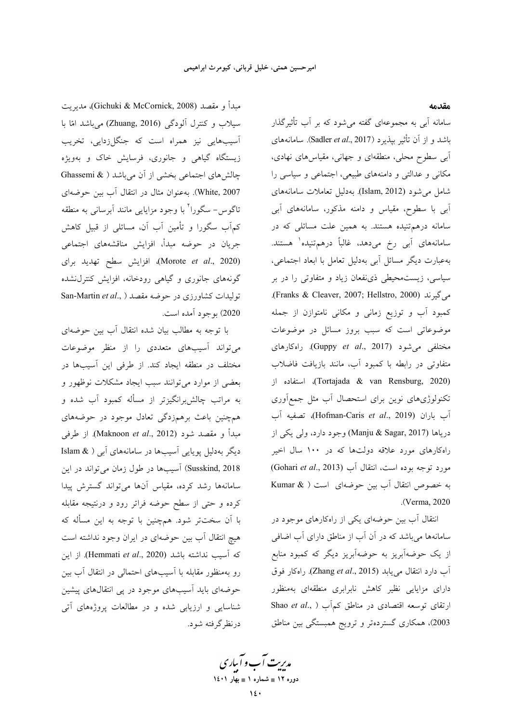مبدأ و مقصد (Gichuki & McCornick, 2008)، مديريت سیلاب و کنترل آلودگ<sub>ی</sub> (Zhuang, 2016) میباشد امّا با اسیبهایی نیز همراه است که جنگلزدایی، تخریب زیستگاه گیاهی و جانوری، فرسایش خاک و بهویژه چالشهای اجتماعی بخشی از آن میباشد ( & Ghassemi White, 2007). بەعنوان مثال در انتقال أب بين حوضەاي تاگوس– سگورا<sup>۲</sup> با وجود مزایایی مانند آبرسانی به منطقه کم آب سگورا و تأمین آب آن، مسائلی از قبیل کاهش جریان در حوضه مبدأ، افزایش مناقشههای اجتماعی (Morote *et al*., 2020)، افزایش سطح تهدید برای گونههای جانوری و گیاهی رودخانه، افزایش کنترل $سده$ تولیدات کشاورزی در حوضه مقصد ( San-Martin et al., 2020) بوجود آمده است.

با توجه به مطالب بیان شده انتقال أب بین حوضهای می تواند آسیبهای متعددی را از منظر موضوعات مختلف در منطقه ایجاد کند. از طرفی این آسیبها در بعضی از موارد میٍتوانند سبب ایجاد مشکلات نوظهور و به مراتب چالش برانگیزتر از مسأله کمبود آب شده و همچنین باعث برهمزدگی تعادل موجود در حوضههای مبدأ و مقصد شود (Maknoon *et al*., 2012). از طرفي دیگر بهدلیل پویایی آسیبها در سامانههای آبی ( & Islam Susskind, 2018) آسیبها در طول زمان میتواند در این سامانهها رشد كرده، مقياس أنها مىتواند گسترش پيدا كرده و حتى از سطح حوضه فراتر رود و درنتيجه مقابله با آن سختتر شود. همچنین با توجه به این مسأله که هیچ انتقال آب بین حوضهای در ایران وجود نداشته است كه أسيب نداشته باشد (Hemmati *et al.*, 2020). از اين رو بهمنظور مقابله با آسیبهای احتمالی در انتقال آب بین حوضهای باید آسیبهای موجود در پی انتقالهای پیشین شناسایی و ارزیابی شده و در مطالعات پروژههای آتی درنظر گرفته شود. **مقدمه** 

سامانه آبی به مجموعهای گفته می شود که بر آب تأثیرگذار باشد و از آن تأثیر بپذیرد (Sadler *et al.*, 2017). سامانههای أبي سطوح محلي، منطقهاي و جهاني، مقياس هاي نهادي، مکانی و عدالتی و دامنههای طبیعی، اجتماعی و سیاسی را شامل می شود (Islam, 2012). بهدلیل تعاملات سامانههای أبي با سطوح، مقياس و دامنه مذكور، سامانههاي أبي سامانه درهمتنیده هستند. به همین علت مسائلی که در سامانەھای آب*ی* رخ میدهد، غالباً درهمتنیده<sup>۱</sup> هستند. بهعبارت دیگر مسائل آبی بهدلیل تعامل با ابعاد اجتماعی، سیاسی، زیستمحیطی ذی:فعان زیاد و متفاوتی را در بر .(Franks & Cleaver, 2007; Hellstro, 2000) ,< کمبود آب و توزیع زمانی و مکانی نامتوازن از جمله موضوعاتی است که سبب بروز مسائل در موضوعات مختلفی میشود (Guppy *et al.*, 2017). راهکارهای متفاوتی در رابطه با کمبود آب، مانند بازیافت فاضلاب "L' ((Tortajada & van Rensburg, 2020) نکنولوژیهای نوین برای استحصال آب مثل جمع۱وری آب باران (Hofman-Caris *et al.*, 2019)، تصفيه آب درياها (Manju & Sagar, 2017) وجود دارد، ولي يكي از راهکارهای مورد علاقه دولتها که در ۱۰۰ سال اخیر ىورد توجه بوده است، انتقال أب (Gohari *et al.*, 2013) به خصوص انتقال آب بین حوضهای است ( Kumar & (. Verma, 2020

نتقال أب بین حوضهای یکی از راهکارهای موجود در سامانهها میباشد که در آن آب از مناطق دارای آب اضافی ز یک حوضهآبریز به حوضهآبریز دیگر که کمبود منابع اب دارد انتقال م<sub>ی</sub>یابد (Zhang *et al*., 2015). راهکار فوق دارای مزایایی نظیر کاهش نابرابری منطقهای بهمنظور  $S$ hao *et al.*, ) ارتقای توسعه اقتصادی در مناطق کم آب 2003)، همکاری گستردهتر و ترویج همبستگی بین مناطق

مدیریت آب و آباری **1401  1 - 12 -**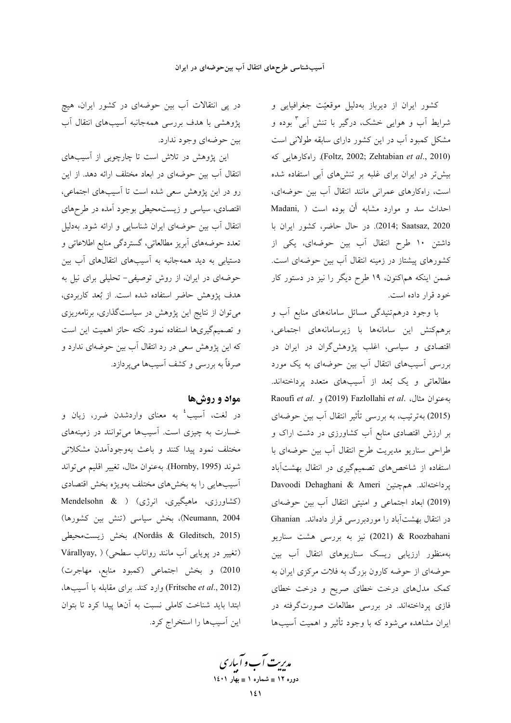کشور ایران از دیرباز بهدلیل موقعیّت جغرافیایی و شرایط اَب و هوایی خشک، درگیر با تنش اَبی<sup>۳</sup> بوده و مشکل کمبود آب در این کشور دارای سابقه طولانی است (Foltz, 2002; Zehtabian *et al.*, 2010). راهكارهايي كه بیش تر در ایران برای غلبه بر تنش های آبی استفاده شده است، راهکارهای عمرانی مانند انتقال آب بین حوضهای، احداث سد و موارد مشابه آن بوده است ( Madani, 2020 (2014; Saatsaz, در حال حاضر، كشور ايران با داشتن ۱۰ طرح انتقال آب بین حوضهای، یکی از کشورهای پیشتاز در زمینه انتقال آب بین حوضهای است. ضمن اینکه هماکنون، ۱۹ طرح دیگر را نیز در دستور کار خود قرار داده است.

با وجود درهم تنیدگی مسائل سامانههای منابع آب و برهمكنش اين سامانهها با زيرسامانههاي اجتماعي، اقتصادی و سیاسی، اغلب پژوهشگران در ایران در بررسی آسیبهای انتقال آب بین حوضهای به یک مورد مطالعاتی و یک بُعد از آسیبهای متعدد پرداختهاند. Raoufi et al. و. (2019) Fazlollahi et al. به عنوان مثال، . (2015) بهترتیب، به بررسی تأثیر انتقال آب بین حوضهای بر ارزش اقتصادی منابع آب کشاورزی در دشت اراک و طراحی سناریو مدیریت طرح انتقال آب بین حوضهای با استفاده از شاخصهای تصمیمگیری در انتقال بهشتآباد Davoodi Dehaghani & Ameri يرداختهاند. هم چنين (2019) ابعاد اجتماعی و امنیتی انتقال آب بین حوضهای در انتقال بهشتآباد را موردبررسی قرار دادهاند. Ghanian k Roozbahani (2021) نيز به بررسي هشت سناريو بهمنظور ارزیابی ریسک سناریوهای انتقال آب بین حوضهای از حوضه کارون بزرگ به فلات مرکزی ایران به کمک مدلهای درخت خطای صریح و درخت خطای .<br>فازی پرداختهاند. در بررسی مطالعات صورتگرفته در ایران مشاهده میشود که با وجود تأثیر و اهمیت آسیبها

در پی انتقالات آب بین حوضهای در کشور ایران، هیچ پژوهشی با هدف بررسی همهجانبه آسیبهای انتقال آب بین حوضهای وجود ندارد.

این پژوهش در تلاش است تا چارچوبی از آسیبهای انتقال آب بین حوضهای در ابعاد مختلف ارائه دهد. از این رو در این پژوهش سعی شده است تا آسیبهای اجتماعی، اقتصادی، سیاسی و زیست.حیطی بوجود آمده در طرحهای انتقال آب بین حوضهای ایران شناسایی و ارائه شود. بهدلیل تعدد حوضههای أبریز مطالعاتی، گستردگی منابع اطلاعاتی و دستیابی به دید همهجانبه به آسیبهای انتقالهای آب بین حوضهای در ایران، از روش توصیفی- تحلیلی برای نیل به هدف پژوهش حاضر استفاده شده است. از بُعد کاربردی، می توان از نتایج این پژوهش در سیاستگذاری، برنامهریزی و تصمیمگیریها استفاده نمود. نکته حائز اهمیت این است که این پژوهش سعی در رد انتقال آب بین حوضهای ندارد و صرفاً به بررسی و کشف آسیبها می یردازد.

## مواد و روشها

در لغت، آسیب<sup>؛</sup> به معنای واردشدن ضرر، زیان و خسارت به چیزی است. آسیبها میتوانند در زمینههای مختلف نمود پیدا کنند و باعث بهوجودآمدن مشکلاتی شوند (Hornby, 1995). به عنوان مثال، تغيير اقليم مي تواند آسیبهایی را به بخشهای مختلف بهویژه بخش اقتصادی (کشاورزی، ماهیگیری، انرژی) ( Mendelsohn & Neumann, 2004)، بخش سیاسی (تنش بین کشورها) (Nordås & Gleditsch, 2015)، بخش زيست،محيطى (تغییر در پویایی آب مانند رواناب سطحی) ( Várallyay, 2010) وبخش اجتماعي (كمبود منابع، مهاجرت) (Fritsche et al., 2012) وارد کند. برای مقابله با آسیبها، ابتدا باید شناخت کاملی نسبت به آنها پیدا کرد تا بتوان این آسیبها را استخراج کرد.

مدیرت آب و آباری دوره ۱۲ ∎ شماره ۱ ∎ بهار ۱٤۰۱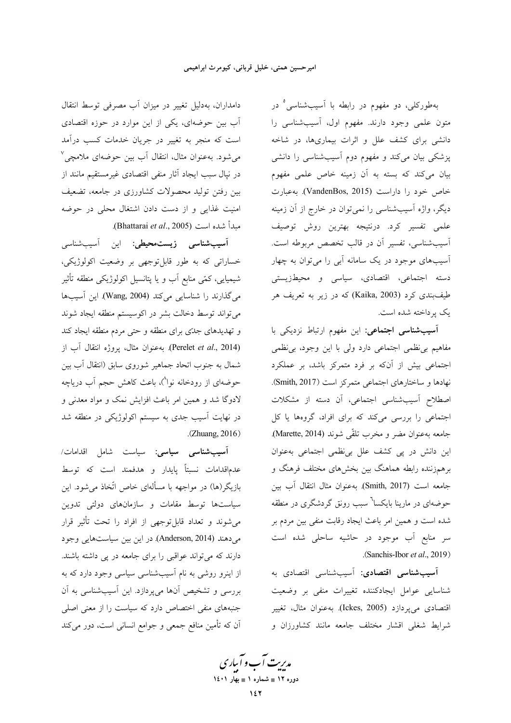دامداران، بهدلیل تغییر در میزان آب مصرفی توسط انتقال اَب بین حوضهای، یکی از این موارد در حوزه اقتصادی است که منجر به تغییر در جریان خدمات کسب درآمد می شود. بهعنوان مثال، انتقال آب بین حوضهای ملامچی<sup>۷</sup> در نیال سبب ایجاد آثار منفی اقتصادی غیرمستقیم مانند از بین رفتن تولید محصولات کشاورزی در جامعه، تضعیف امنیت غذایی و از دست دادن اشتغال محلی در حوضه مبدأ شده است (Bhattarai et al., 2005).

آ**سیبشناسی زیست.محیطی**: این آسیبشناسی خساراتی که به طور قابلتوجهی بر وضعیت اکولوژیکی، شیمیایی، کمّی منابع اَب و یا پتانسیل اکولوژیکی منطقه تأثیر می گذارند را شناسایی میکند (Wang, 2004). این آسیبها می تواند توسط دخالت بشر در اکوسیستم منطقه ایجاد شوند و تهدیدهای جدّی برای منطقه و حتی مردم منطقه ایجاد کند (Perelet et al., 2014). به عنوان مثال، يروژه انتقال آب از شمال به جنوب اتحاد جماهیر شوروی سابق (انتقال آب بین حوضهای از رودخانه نوا^)، باعث کاهش حجم اَب دریاچه لادوگا شد و همین امر باعث افزایش نمک و مواد معدنی و در نهایت آسیب جدی به سیستم اکولوژیکی در منطقه شد  $(Zhuang, 2016)$ 

آ**سیبشناسی سیاسی**: سیاست شامل اقدامات/ عدم|قدامات نسبتاً پایدار و هدفمند است که توسط بازیگر(ها) در مواجهه با مسألهای خاص اتّخاذ می شود. این سیاستها توسط مقامات و سازمانهای دولتی تدوین می شوند و تعداد قابل توجهی از افراد را تحت تأثیر قرار میدهند (Anderson, 2014). در این بین سیاستهایی وجود دارند که میتواند عواقبی را برای جامعه در پی داشته باشند. از اینرو روشی به نام آسیبشناسی سیاسی وجود دارد که به بررسی و تشخیص آنها میپردازد. این آسیبشناسی به آن جنبههای منفی اختصاص دارد که سیاست را از معنی اصلی آن که تأمین منافع جمعی و جوامع انسانی است، دور میکند

بهطورکلی، دو مفهوم در رابطه با آسیبشناسی° در متون علمی وجود دارند. مفهوم اول، آسیبشناسی را دانشی برای کشف علل و اثرات بیماریها، در شاخه پزشکی بیان میکند و مفهوم دوم آسیبشناسی را دانشی بیان میکند که بسته به آن زمینه خاص علمی مفهوم خاص خود را داراست (VandenBos, 2015). به عبارت دیگر، واژه آسیبشناسی را نمیتوان در خارج از آن زمینه علمی تفسیر کرد. درنتیجه بهترین روش توصیف آسیبشناسی، تفسیر آن در قالب تخصص مربوطه است. آسیبهای موجود در یک سامانه آب<sub>ی</sub> را میتوان به چهار دسته اجتماعی، اقتصادی، سیاسی و محیطزیستی طیفبندی کرد (Kaika, 2003) که در زیر به تعریف هر یک پرداخته شده است.

آ**سیب شناسی اجتماعی**: این مفهوم ارتباط نزدیکی با مفاهیم بی نظمی اجتماعی دارد ولی با این وجود، بی نظمی اجتماعی بیش از آنکه بر فرد متمرکز باشد، بر عملکرد نهادها و ساختارهای اجتماعی متمرکز است (Smith, 2017). اصطلاح آسیب شناسی اجتماعی، آن دسته از مشکلات اجتماعی را بررسی میکند که برای افراد، گروهها یا کل جامعه به عنوان مضر و مخرب تلقّي شوند (Marette, 2014). این دانش در پی کشف علل بی نظمی اجتماعی به عنوان برهمزننده رابطه هماهنگ بین بخشهای مختلف فرهنگ و جامعه است (Smith, 2017) به عنوان مثال انتقال آب بين حوضهای در مارینا بایکسا<sup>٬</sup> سبب رونق گردشگری در منطقه شده است و همین امر باعث ایجاد رقابت منفی بین مردم بر سر منابع آب موجود در حاشیه ساحلی شده است (Sanchis-Ibor et al., 2019).

آ**سیب شناسی اقتصادی**: آسیب شناس<sub>ی</sub> اقتصادی به شناسایی عوامل ایجادکننده تغییرات منفی بر وضعیت اقتصادی میپردازد (Ickes, 2005). به عنوان مثال، تغییر شرايط شغلي اقشار مختلف جامعه مانند كشاورزان و

مدیرت آب و آباری دوره ۱۲ ∎ شماره ۱ ∎ بهار ۱٤۰۱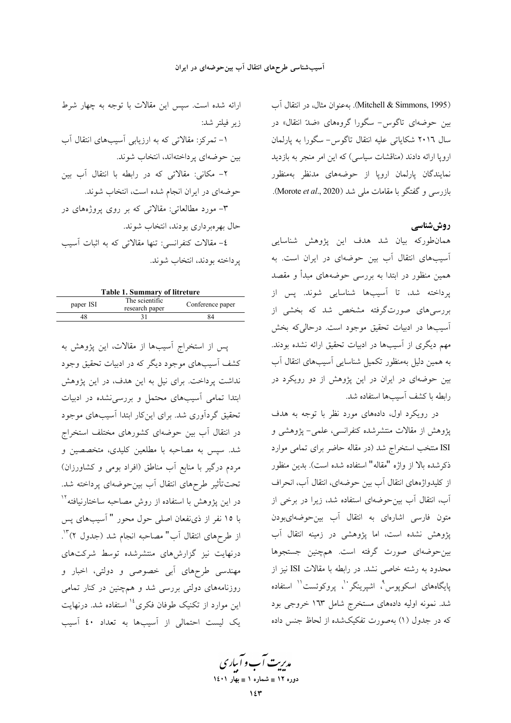(Mitchell & Simmons, 1995). به عنوان مثال، در انتقال آب بین حوضهای تاگوس- سگورا گروههای «ضدّ انتقال» در سال ۲۰۱٦ شکایاتی علیه انتقال تاگوس- سگورا به پارلمان اروپا ارائه دادند (مناقشات سیاسی) که این امر منجر به بازدید نمایندگان پارلمان اروپا از حوضههای مدنظر بهمنظور بازرسی و گفتگو با مقامات ملی شد (Morote et al., 2020).

## روش شناسی

همانطورکه بیان شد هدف این پژوهش شناسایی آسیبهای انتقال آب بین حوضهای در ایران است. به همین منظور در ابتدا به بررسی حوضههای مبدأ و مقصد پرداخته شد، تا آسیبها شناسایی شوند. پس از بررسیهای صورتگرفته مشخص شد که بخشی از آسیبها در ادبیات تحقیق موجود است. درحالی که بخش مهم دیگری از آسیبها در ادبیات تحقیق ارائه نشده بودند. به همین دلیل بهمنظور تکمیل شناسایی آسیبهای انتقال آب بین حوضهای در ایران در این پژوهش از دو رویکرد در رابطه با كشف أسيبها استفاده شد.

در رویکرد اول، دادههای مورد نظر با توجه به هدف پژوهش از مقالات منتشرشده کنفرانسی، علمی- پژوهشی و ISI منتخب استخراج شد (در مقاله حاضر برای تمامی موارد ذكرشده بالا از واژه "مقاله" استفاده شده است). بدين منظور از کلیدواژههای انتقال آب بین حوضهای، انتقال آب، انحراف آب، انتقال آب بین حوضهای استفاده شد، زیرا در برخی از متون فارسی اشارهای به انتقال آب بین حوضهایبودن پژوهش نشده است، اما پژوهشی در زمینه انتقال آب بین حوضهای صورت گرفته است. همچنین جستجوها محدود به رشته خاصی نشد. در رابطه با مقالات ISI نیز از پایگاههای اسکوپوس<sup>۹</sup>، اشپرینگر<sup>۰'</sup>، پروکوئست<sup>۰۱</sup> استفاده شد. نمونه اولیه دادههای مستخرج شامل ۱۶۳ خروجی بود که در جدول (۱) بهصورت تفکیکشده از لحاظ جنس داده

ارائه شده است. سپس این مقالات با توجه به چهار شرط زير فيلتر شد: ۱- تمرکز: مقالاتی که به ارزیابی آسیبهای انتقال آب بين حوضهاي يرداختهاند، انتخاب شوند. ۲– مکانی: مقالاتی که در رابطه با انتقال آب بین حوضهای در ایران انجام شده است، انتخاب شوند. ۳– مورد مطالعاتی: مقالاتی که بر روی پروژههای در حال بهرهبرداري بودند، انتخاب شوند. ٤- مقالات كنفرانسي: تنها مقالاتي كه به اثبات أسيب پرداخته بودند، انتخاب شوند.

|           | <b>Table 1. Summary of litreture</b> |                  |
|-----------|--------------------------------------|------------------|
| paper ISI | The scientific<br>research paper     | Conference paper |
|           |                                      | ₹4               |
|           |                                      |                  |

پس از استخراج آسیبها از مقالات، این پژوهش به کشف آسیبهای موجود دیگر که در ادبیات تحقیق وجود نداشت پرداخت. برای نیل به این هدف، در این پژوهش ابتدا تمامی آسیبهای محتمل و بررسی نشده در ادبیات تحقیق گردآوری شد. برای اینکار ابتدا آسیبهای موجود در انتقال آب بین حوضهای کشورهای مختلف استخراج شد. سپس به مصاحبه با مطلعین کلیدی، متخصصین و مردم درگیر با منابع آب مناطق (افراد بومی و کشاورزان) تحت تأثير طرحهاي انتقال آب بين حوضهاي پرداخته شد. در این پژوهش با استفاده از روش مصاحبه ساختارنیافته<sup>۱۲</sup> با ١٥ نفر از ذىنفعان اصلى حول محور " آسيبهاى پس از طرحهای انتقال آب" مصاحبه انجام شد (جدول ۲)<sup>۱۳</sup>. درنهایت نیز گزارشهای منتشرشده توسط شرکتهای مهندسی طرحهای آبی خصوصی و دولتی، اخبار و روزنامههای دولتی بررسی شد و همچنین در کنار تمامی این موارد از تکنیک طوفان فکری<sup>۱۶</sup> استفاده شد. درنهایت یک لیست احتمالی از آسیبها به تعداد ٤٠ آسیب

مدبریت آب و آباری دوره ۱۲ ∎ شماره ۱ ∎ بهار ۱٤۰۱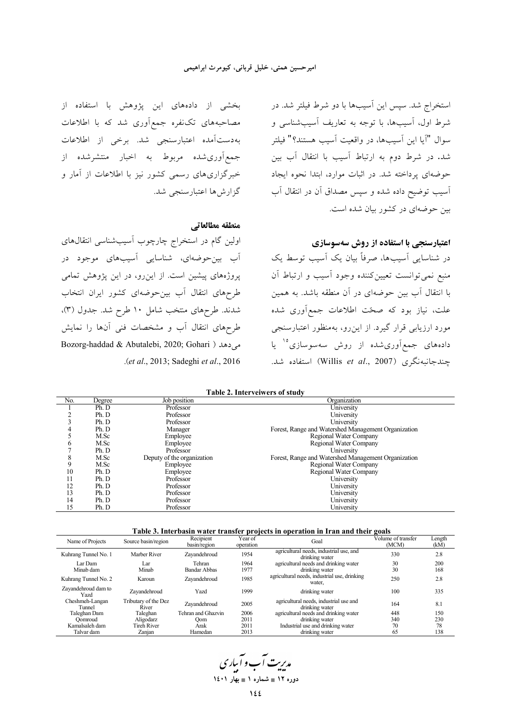بخشی از دادههای این پژوهش با استفاده از مصاحبههای تکنفره جمع آوری شد که با اطلاعات بهدستآمده اعتبارسنجي شد. برخي از اطلاعات جمع]وری شده مربوط به اخبار منتشرشده از خبرگزاری های رسمی کشور نیز با اطلاعات از آمار و گزار ش ها اعتبار سنجی شد.

#### منطقه مطالعاتي

اولین گام در استخراج چارچوب آسیبشناسی انتقالهای آب بین-*حوض*های، شناسایی آسیبهای موجود در پروژههای پیشین است. از این رو، در این پژوهش تمامی طرحهای انتقال آب بین حوضهای کشور ایران انتخاب شدند. طرحهای منتخب شامل ۱۰ طرح شد. جدول (۳)، طرحهای انتقال آب و مشخصات فنی آنها را نمایش Bozorg-haddad & Abutalebi, 2020; Gohari ) می دهد .(et al., 2013; Sadeghi et al., 2016

استخراج شد. سپس این آسیبها با دو شرط فیلتر شد. در شرط اول، آسیبها، با توجه به تعاریف آسیبشناسی و سوال "آيا اين اَسيبها، در واقعيت اَسيب هستند؟" فيلتر .<br>شد. در شرط دوم به ارتباط آسیب با انتقال آب بین حوضهای پرداخته شد. در اثبات موارد، ابتدا نحوه ایجاد .<br>آسیب توضیح داده شده و سپس مصداق آن در انتقال آب بین حوضهای در کشور بیان شده است.

## اعتبارسنجی با استفاده از روش سهسوسازی

در شناسایی اسیبها، صرفاً بیان یک اسیب توسط یک منبع نمیتوانست تعیینکننده وجود آسیب و ارتباط آن با انتقال آب بین حوضهای در آن منطقه باشد. به همین علت، نیاز بود که صحّت اطلاعات جمع|َوری شده مورد ارزیابی قرار گیرد. از این رو، بهمنظور اعتبارسنجی دادههای جمعآوریشده از روش سهسوسازی<sup>۱۰</sup> یا جندجانبهنگری (Willis et al., 2007) استفاده شد.

| Table 2. Interveiwers of study |  |
|--------------------------------|--|
|--------------------------------|--|

| No. | Degree | Job position               | Organization                                        |
|-----|--------|----------------------------|-----------------------------------------------------|
|     | Ph. D  | Professor                  | University                                          |
|     | Ph. D  | Professor                  | University                                          |
|     | Ph. D  | Professor                  | University                                          |
| 4   | Ph. D  | Manager                    | Forest, Range and Watershed Management Organization |
|     | M.Sc   | Employee                   | Regional Water Company                              |
| 6   | M.Sc   | Employee                   | Regional Water Company                              |
|     | Ph. D  | Professor                  | University                                          |
| 8   | M.Sc   | Deputy of the organization | Forest, Range and Watershed Management Organization |
| 9   | M.Sc   | Employee                   | Regional Water Company                              |
| 10  | Ph. D  | Employee                   | Regional Water Company                              |
| 11  | Ph. D  | Professor                  | University                                          |
| 12  | Ph. D  | Professor                  | University                                          |
| 13  | Ph. D  | Professor                  | University                                          |
| 14  | Ph. D  | Professor                  | University                                          |
| 15  | Ph. D  | Professor                  | University                                          |

#### Table 3. Interbasin water transfer projects in operation in Iran and their goals

| Name of Projects            | Source basin/region           | Recipient<br>basin/region | Year of<br>operation | Goal                                                      | Volume of transfer<br>(MCM) | Length<br>(kM) |
|-----------------------------|-------------------------------|---------------------------|----------------------|-----------------------------------------------------------|-----------------------------|----------------|
| Kuhrang Tunnel No. 1        | Marber River                  | Zavandehroud              | 1954                 | agricultural needs, industrial use, and<br>drinking water | 330                         | 2.8            |
| Lar Dam                     | Lar                           | Tehran                    | 1964                 | agricultural needs and drinking water                     | 30                          | 200            |
| Minab dam                   | Minab                         | <b>Bandar Abbas</b>       | 1977                 | drinking water                                            | 30                          | 168            |
| Kuhrang Tunnel No. 2        | Karoun                        | Zavandehroud              | 1985                 | agricultural needs, industrial use, drinking<br>water.    | 250                         | 2.8            |
| Zayandehroud dam to<br>Yazd | Zavandehroud                  | Yazd                      | 1999                 | drinking water                                            | 100                         | 335            |
| Cheshmeh-Langan<br>Tunnel   | Tributary of the Dez<br>River | Zayandehroud              | 2005                 | agricultural needs, industrial use and<br>drinking water  | 164                         | 8.1            |
| Taleghan Dam                | Taleghan                      | Tehran and Ghazvin        | 2006                 | agricultural needs and drinking water                     | 448                         | 150            |
| Oomroud                     | Aligodarz                     | Oom                       | 2011                 | drinking water                                            | 340                         | 230            |
| Kamalsaleh dam              | Tireh River                   | Arak                      | 2011                 | Industrial use and drinking water                         | 70                          | 78             |
| Talvar dam                  | Zanian                        | Hamedan                   | 2013                 | drinking water                                            | 65                          | 138            |

مدیریت آب و آباری دوره ۱۲ ∎ شماره ۱ ∎ بهار ۱٤۰۱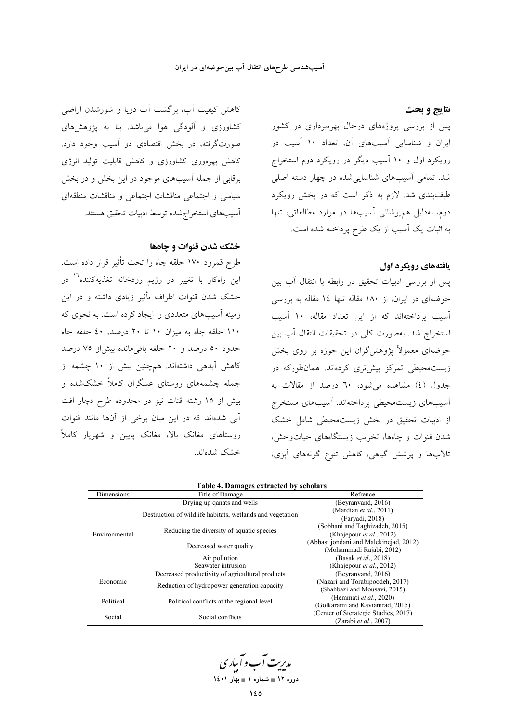#### آسیبشناسی طرحهای انتقال آب بین حوضهای در ایران

#### نتايج و بحث

پس از بررسی پروژههای درحال بهرهبرداری در کشور ایران و شناسایی آسیبهای آن، تعداد ۱۰ آسیب در رویکرد اول و ۱۰ آسیب دیگر در رویکرد دوم استخراج شد. تمامی آسیبهای شناساییشده در چهار دسته اصلی طیفبندی شد. لازم به ذکر است که در بخش رویکرد دوم، بهدلیل همپوشانی آسیبها در موارد مطالعاتی، تنها به اثبات یک آسیب از یک طرح پرداخته شده است.

### یافتههای رویکرد اول

پس از بررسی ادبیات تحقیق در رابطه با انتقال آب بین حوضهای در ایران، از ۱۸۰ مقاله تنها ۱٤ مقاله به بررسی آسیب پرداختهاند که از این تعداد مقاله، ۱۰ آسیب استخراج شد. بهصورت کلی در تحقیقات انتقال آب بین حوضهای معمولاً پژوهشگران این حوزه بر روی بخش زیست.حیطی تمرکز بیشتری کردهاند. همانطورکه در جدول (٤) مشاهده مي شود، ٦٠ درصد از مقالات به ۔<br>اسیبهای زیستمحیطی پرداختهاند. اسیبهای مستخرج از ادبیات تحقیق در بخش زیست.محیطی شامل خشک شدن قنوات و چاهها، تخریب زیستگاههای حیاتوحش، تالابها و پوشش گیاهی، کاهش تنوع گونههای آبزی،

کاهش کیفیت آب، برگشت آب دریا و شورشدن اراضی کشاورزی و آلودگی هوا میباشد. بنا به پژوهشهای صورتگرفته، در بخش اقتصادی دو آسیب وجود دارد. کاهش بهرهوری کشاورزی و کاهش قابلیت تولید انرژی برقابی از جمله آسیبهای موجود در این بخش و در بخش سیاسی و اجتماعی مناقشات اجتماعی و مناقشات منطقهای أسيبهاي استخراج شده توسط ادبيات تحقيق هستند.

## خشک شدن قنوات و چاهها

طرح قمرود ۱۷۰ حلقه چاه را تحت تأثیر قرار داده است. این راهکار با تغییر در رژیم رودخانه تغذیهکننده<sup>۱٬۱</sup> در خشک شدن قنوات اطراف تأثیر زیادی داشته و در این زمینه آسیبهای متعددی را ایجاد کرده است. به نحوی که ۱۱۰ حلقه چاه به میزان ۱۰ تا ۲۰ درصد، ٤٠ حلقه چاه حدود ٥٠ درصد و ٢٠ حلقه باقىمانده بيشإز ٧٥ درصد کاهش آبدهی داشتهاند. همچنین بیش از ۱۰ چشمه از جمله چشمههای روستای عسگران کاملاً خشکشده و بیش از ۱۵ رشته قنات نیز در محدوده طرح دچار افت ۔<br>آبی شدہاند که در این میان برخی از آنها مانند قنوات روستاهای مغانک بالا، مغانک پایین و شهریار کاملاً خشک شدهاند.

|                   | Table 4. Damages extracted by scholars                    |                                        |
|-------------------|-----------------------------------------------------------|----------------------------------------|
| <b>Dimensions</b> | Title of Damage                                           | Refrence                               |
|                   | Drying up qanats and wells                                | (Beyranvand, 2016)                     |
|                   | Destruction of wildlife habitats, wetlands and vegetation | (Mardian <i>et al.</i> , 2011)         |
|                   |                                                           | (Faryadi, 2018)                        |
|                   | Reducing the diversity of aquatic species                 | (Sobhani and Taghizadeh, 2015)         |
| Environmental     |                                                           | (Khajepour et al., 2012)               |
|                   | Decreased water quality                                   | (Abbasi jondani and Malekinejad, 2012) |
|                   |                                                           | (Mohammadi Rajabi, 2012)               |
|                   | Air pollution                                             | (Basak et al., 2018)                   |
|                   | Seawater intrusion                                        | (Khajepour <i>et al.</i> , 2012)       |
|                   | Decreased productivity of agricultural products           | (Beyranyand, 2016)                     |
| Economic          | Reduction of hydropower generation capacity               | (Nazari and Torabipoodeh, 2017)        |
|                   |                                                           | (Shahbazi and Mousavi, 2015)           |
| Political         | Political conflicts at the regional level                 | (Hemmati et al., 2020)                 |
|                   |                                                           | (Golkarami and Kavianirad, 2015)       |
| Social            | Social conflicts                                          | (Center of Sterategic Studies, 2017)   |
|                   |                                                           | (Zarabi et al., 2007)                  |

# Toble 4. Demages extracted by schola

مدبریت آب و آبیاری دوره ۱۲ ∎ شماره ۱ ∎ بهار ۱٤۰۱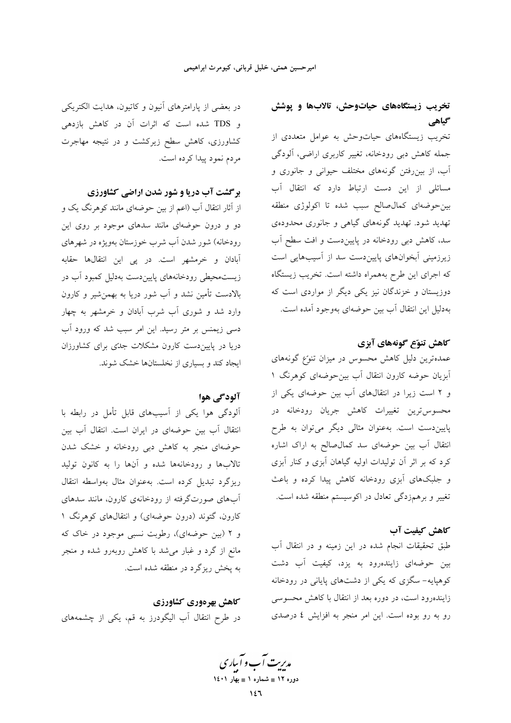# تخریب زیستگاههای حیاتوحش، تالابها و پوشش گیاهی

تخریب زیستگاههای حیاتوحش به عوامل متعددی از جمله کاهش دبی رودخانه، تغییر کاربری اراضی، آلودگی آب، از بینروفتن گونههای مختلف حیوانی و جانوری و مسائلی از این دست ارتباط دارد که انتقال آب بین حوضهای کمال صالح سبب شده تا اکولوژی منطقه تهدید شود. تهدید گونههای گیاهی و جانوری محدودهی سد، کاهش دبی رودخانه در پاییندست و افت سطح آب زیرزمینی آبخوانهای پاییندست سد از آسیبهایی است كه اجراي اين طرح بههمراه داشته است. تخريب زيستگاه دوزیستان و خزندگان نیز یکی دیگر از مواردی است که بهدليل اين انتقال آب بين حوضهاي بهوجود آمده است.

## كاهش تنوّع گونههاي آبزي

عمدهترین دلیل کاهش محسوس در میزان تنوّع گونههای آبزیان حوضه کارون انتقال آب بین حوضهای کوهرنگ ۱ و ۲ است زیرا در انتقال های آب بین حوضهای یکی از محسوس ترین تغییرات کاهش جریان رودخانه در پاییندست است. بهعنوان مثالی دیگر میتوان به طرح انتقال آب بین حوضهای سد کمال صالح به اراک اشاره کرد که بر اثر آن تولیدات اولیه گیاهان آبزی و کنار آبزی و جلبکهای آبزی رودخانه کاهش پیدا کرده و باعث تغییر و برهمزدگی تعادل در اکوسیستم منطقه شده است.

## كاهش كيفيت آب

طبق تحقیقات انجام شده در این زمینه و در انتقال آب بین حوضهای زایندهرود به یزد، کیفیت آب دشت کوهپایه- سگزی که یکی از دشتهای پایانی در رودخانه زایندهرود است، در دوره بعد از انتقال با کاهش محسوسی رو به رو بوده است. این امر منجر به افزایش ٤ درصدی

در بعضی از پارامترهای آنیون و کاتیون، هدایت الکتریکی و TDS شده است که اثرات آن در کاهش بازدهی کشاورزی، کاهش سطح زیرکشت و در نتیجه مهاجرت مردم نمود پيدا كرده است.

برگشت آب دریا و شور شدن اراضی کشاورزی

از آثار انتقال آب (اعم از بین حوضهای مانند کوهرنگ یک و دو و درون حوضهای مانند سدهای موجود بر روی این رودخانه) شور شدن آب شرب خوزستان بهویژه در شهرهای ا<br>بادان و خرمشهر است. در پی این انتقالها حقابه زیستمحیطی رودخانههای پایین دست بهدلیل کمبود آب در بالادست تأمین نشد و آب شور دریا به بهمنشیر و کارون وارد شد و شوری آب شرب آبادان و خرمشهر به چهار دسی زیمنس بر متر رسید. این امر سبب شد که ورود آب دریا در پایین دست کارون مشکلات جدتی برای کشاورزان ایجاد کند و بسیاری از نخلستانها خشک شوند.

## آلودگی هوا

آلودگی هوا یکی از آسیبهای قابل تأمل در رابطه با انتقال آب بين حوضهاى در ايران است. انتقال آب بين حوضهای منجر به کاهش دبی رودخانه و خشک شدن تالابها و رودخانهها شده و آنها را به کانون تولید ریزگرد تبدیل کرده است. بهعنوان مثال بهواسطه انتقال آبهای صورتگرفته از رودخانهی کارون، مانند سدهای کارون، گتوند (درون حوضهای) و انتقالهای کوهرنگ ۱ و ۲ (بین حوضهای)، رطوبت نسبی موجود در خاک که مانع از گرد و غبار می شد با کاهش روبهرو شده و منجر به یخش ریزگرد در منطقه شده است.

كاهش بهرهوري كشاورزي در طرح انتقال آب الیگودرز به قم، یکی از چشمههای

مدبریت آب و آساری دوره ۱۲ ∎ شماره ۱ ∎ بهار ۱٤۰۱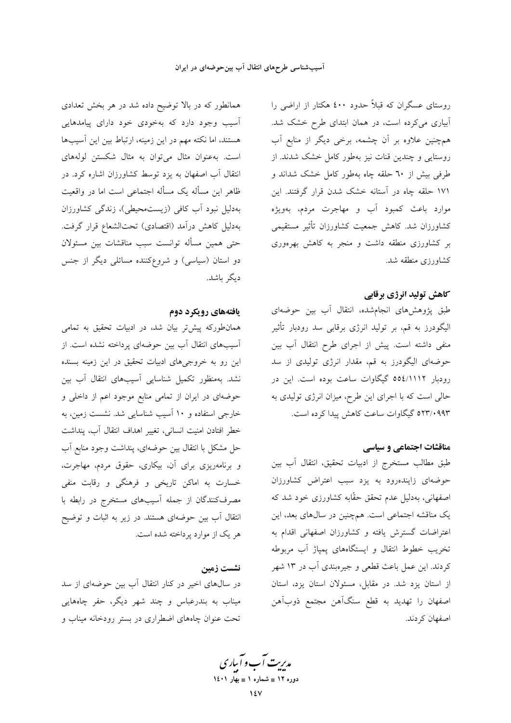همانطور که در بالا توضیح داده شد در هر بخش تعدادی آسیب وجود دارد که بهخودی خود دارای پیامدهایی هستند، اما نکته مهم در این زمینه، ارتباط بین این آسیبها است. به عنوان مثال می توان به مثال شکستن لولههای انتقال آب اصفهان به یزد توسط کشاورزان اشاره کرد. در ظاهر این مسأله یک مسأله اجتماعی است اما در واقعیت بهدلیل نبود آب کافی (زیستمحیطی)، زندگی کشاورزان بهدلیل کاهش درآمد (اقتصادی) تحتالشعاع قرار گرفت. حتى همين مسأله توانست سبب مناقشات بين مسئولان دو استان (سیاسی) و شروعکننده مسائلی دیگر از جنس دىگە ياشد.

#### یافتههای رویکرد دوم

همانطورکه پیش تر بیان شد، در ادبیات تحقیق به تمامی آسیبهای انتقال آب بین حوضهای پرداخته نشده است. از این رو به خروجیهای ادبیات تحقیق در این زمینه بسنده نشد. بهمنظور تکمیل شناسایی آسیبهای انتقال آب بین حوضهای در ایران از تمامی منابع موجود اعم از داخلی و خارجی استفاده و ۱۰ آسیب شناسایی شد. نشست زمین، به خطر افتادن امنیت انسانی، تغییر اهداف انتقال آب، پنداشت حل مشکل با انتقال بین حوضهای، پنداشت وجود منابع آب و برنامهریزی برای آن، بیکاری، حقوق مردم، مهاجرت، خسارت به اماکن تاریخی و فرهنگی و رقابت منفی مصرفکنندگان از جمله آسیبهای مستخرج در رابطه با انتقال آب بین حوضهای هستند. در زیر به اثبات و توضیح هر یک از موارد یرداخته شده است.

## نشست زمین

در سالهای اخیر در کنار انتقال آب بین حوضهای از سد میناب به بندرعباس و چند شهر دیگر، حفر چاههایی تحت عنوان چاههای اضطراری در بستر رودخانه میناب و

روستای عسگران که قبلاً حدود ٤٠٠ هکتار از اراضی را ابیاری میکرده است، در همان ابتدای طرح خشک شد. همچنین علاوه بر آن چشمه، برخی دیگر از منابع آب روستایی و چندین قنات نیز بهطور کامل خشک شدند. از طرفی بیش از ٦٠ حلقه چاه بهطور کامل خشک شداند و ۱۷۱ حلقه چاه در آستانه خشک شدن قرار گرفتند. این موارد باعث کمبود آب و مهاجرت مردم، بهویژه كشاورزان شد. كاهش جمعيت كشاورزان تأثير مستقيمي بر کشاورزی منطقه داشت و منجر به کاهش بهرهوری کشاورزی منطقه شد.

### كاهش توليد انرژي برقابي

طبق پژوهشهای انجامشده، انتقال آب بین حوضهای الیگودرز به قم، بر تولید انرژی برقابی سد رودبار تأثیر منفی داشته است. پیش از اجرای طرح انتقال آب بین حوضهای الیگودرز به قم، مقدار انرژی تولیدی از سد رودبار ٥٥٤/١١١٢ گيگاوات ساعت بوده است. اين در حالی است که با اجرای این طرح، میزان انرژی تولیدی به ۹۹۳/۰۹۹۳ گیگاوات ساعت کاهش پیدا کرده است.

#### مناقشات اجتماعی و سیاسی

طبق مطالب مستخرج از ادبیات تحقیق، انتقال آب بین حوضهای زایندهرود به یزد سبب اعتراض کشاورزان اصفهانی، بهدلیل عدم تحقق حقّابه کشاورزی خود شد که یک مناقشه اجتماعی است. همچنین در سال&ای بعد، این اعتراضات گسترش یافته و کشاورزان اصفهانی اقدام به تخریب خطوط انتقال و ایستگاههای پمپاژ آب مربوطه کردند. این عمل باعث قطعی و جیرهبندی آب در ۱۳ شهر از استان یزد شد. در مقابل، مسئولان استان یزد، استان اصفهان را تهديد به قطع سنگآهن مجتمع ذوبآهن اصفهان کردند.

مد*ریت آ*ب و آباری دوره ۱۲ ∎ شماره ۱ ∎ بهار ۱٤۰۱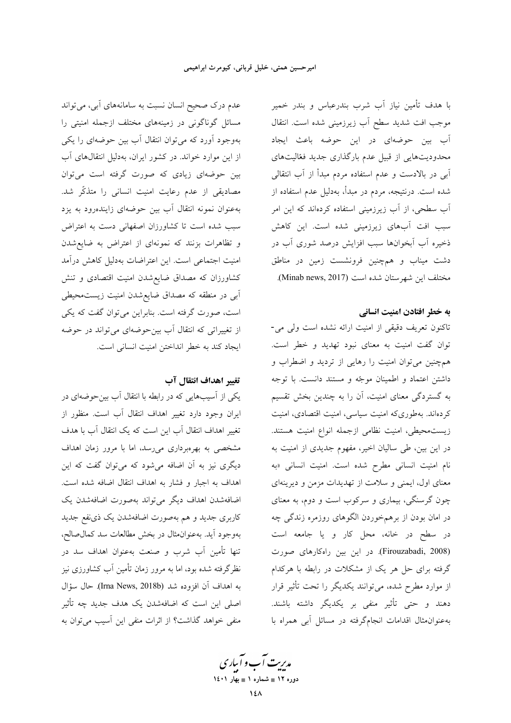با هدف تأمین نیاز آب شرب بندرعباس و بندر خمیر موجب افت شدید سطح آب زیرزمینی شده است. انتقال اَب بین حوضهای در این حوضه باعث ایجاد محدودیتهایی از قبیل عدم بارگذاری جدید فعّالیتهای اّبی در بالادست و عدم استفاده مردم مبدأ از آب انتقالی شده است. درنتیجه، مردم در مبدأ، بهدلیل عدم استفاده از اّب سطحی، از اّب زیرزمینی استفاده کردهاند که این امر سبب افت آبهای زیرزمینی شده است. این کاهش ذخیره اَب اَبخوانها سبب افزایش درصد شوری اَب در دشت میناب و همچنین فرونشست زمین در مناطق مختلف این شهرستان شده است (Minab news, 2017).

#### به خطر افتادن امنیت انسانی

تاکنون تعریف دقیقی از امنیت ارائه نشده است ولی می-توان گفت امنیت به معنای نبود تهدید و خطر است. همچنین می توان امنیت را رهایی از تردید و اضطراب و داشتن اعتماد و اطمینان موجّه و مستند دانست. با توجه به گستردگی معنای امنیت، آن را به چندین بخش تقسیم کردهاند. بهطوریکه امنیت سیاسی، امنیت اقتصادی، امنیت زيست محيطي، امنيت نظامي ازجمله انواع امنيت هستند. در این بین، طی سالیان اخیر، مفهوم جدیدی از امنیت به نام امنیت انسانی مطرح شده است. امنیت انسانی «به معنای اول، ایمنی و سلامت از تهدیدات مزمن و دیرینهای چون گرسنگی، بیماری و سرکوب است و دوم، به معنای در امان بودن از برهمخوردن الگوهای روزمره زندگی چه در سطح در خانه، محل کار و یا جامعه است (Firouzabadi, 2008). در این بین راهکارهای صورت گرفته برای حل هر یک از مشکلات در رابطه با هرکدام از موارد مطرح شده، می توانند یکدیگر را تحت تأثیر قرار دهند و حتى تأثير منفى بر يكديگر داشته باشند. به عنوان مثال اقدامات انجام گرفته در مسائل آبی همراه با

عدم درک صحیح انسان نسبت به سامانههای آبی، میتواند مسائل گوناگونی در زمینههای مختلف ازجمله امنیتی را بهوجود آورد که می توان انتقال آب بین حوضهای را یکی از این موارد خواند. در کشور ایران، بهدلیل انتقالهای آب بین حوضهای زیادی که صورت گرفته است می توان مصادیقی از عدم رعایت امنیت انسانی را متذکّر شد. بهعنوان نمونه انتقال أب بين حوضهاى زايندهرود به يزد سبب شده است تا کشاورزان اصفهانی دست به اعتراض و تظاهرات بزنند که نمونهای از اعتراض به ضایع شدن امنیت اجتماعی است. این اعتراضات بهدلیل کاهش درآمد کشاورزان که مصداق ضایعشدن امنیت اقتصادی و تنش اًبی در منطقه که مصداق ضایع شدن امنیت زیستمحیطی است، صورت گرفته است. بنابراین می توان گفت که یکی از تغییراتی که انتقال آب بین-حوضهای میتواند در حوضه ايجاد كند به خطر انداختن امنيت انساني است.

## تغيير اهداف انتقال آب

یکی از آسیبهایی که در رابطه با انتقال آب بینحوضهای در ایران وجود دارد تغییر اهداف انتقال آب است. منظور از تغییر اهداف انتقال آب این است که یک انتقال آب با هدف مشخصی به بهرهبرداری میرسد، اما با مرور زمان اهداف دیگری نیز به آن اضافه میشود که میتوان گفت که این اهداف به اجبار و فشار به اهداف انتقال اضافه شده است. اضافهشدن اهداف ديگر مي تواند بهصورت اضافهشدن يک کاربری جدید و هم بهصورت اضافهشدن یک ذینفع جدید بهوجود آيد. بهعنوان.ثال در بخش مطالعات سد كمال صالح، تنها تأمین آب شرب و صنعت بهعنوان اهداف سد در نظرگرفته شده بود، اما به مرور زمان تأمین آب کشاورزی نیز به اهداف آن افزوده شد (Irna News, 2018b). حال سؤال اصلی این است که اضافهشدن یک هدف جدید چه تأثیر منفی خواهد گذاشت؟ از اثرات منفی این آسیب می توان به

مدبریت آب و آبیاری دوره ۱۲ ∎ شماره ۱ ∎ بهار ۱٤۰۱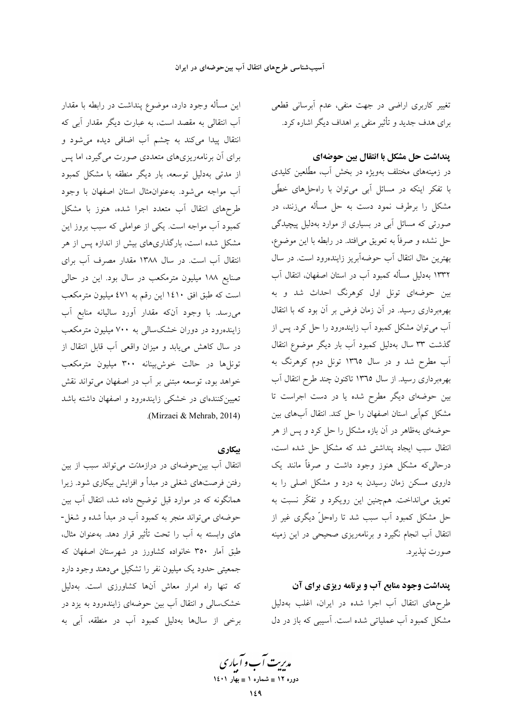تغییر کاربری اراضی در جهت منفی، عدم آبرسانی قطعی برای هدف جدید و تأثیر منفی بر اهداف دیگر اشاره کرد.

## پنداشت حل مشکل با انتقال بین حوضهای

در زمینههای مختلف بهویژه در بخش آب، مطّلعین کلیدی با تفکر اینکه در مسائل آبی میتوان با راهحلهای خطّی مشکل را برطرف نمود دست به حل مسأله میزنند، در صورتی که مسائل آبی در بسیاری از موارد بهدلیل پیچیدگی حل نشده و صرفاً به تعویق میافتد. در رابطه با این موضوع، بهترین مثال انتقال آب حوضهآبریز زایندهرود است. در سال ۱۳۳۲ بهدلیل مسأله کمبود آب در استان اصفهان، انتقال آب بین حوضهای تونل اول کوهرنگ احداث شد و به بهرهبرداری رسید. در آن زمان فرض بر آن بود که با انتقال آب میتوان مشکل کمبود آب زایندهرود را حل کرد. پس از گذشت ۳۳ سال بهدلیل کمبود آب بار دیگر موضوع انتقال آب مطرح شد و در سال ۱۳٦٥ تونل دوم کوهرنگ به بهرهبرداری رسید. از سال ۱۳۶۵ تاکنون چند طرح انتقال آب بین حوضهای دیگر مطرح شده یا در دست اجراست تا مشکل کمآبی استان اصفهان را حل کند. انتقال آبهای بین حوضهای بهظاهر در آن بازه مشکل را حل کرد و پس از هر انتقال سبب ایجاد پنداشتی شد که مشکل حل شده است، درحالیٍکه مشکل هنوز وجود داشت و صرفاً مانند یک داروی مسکن زمان رسیدن به درد و مشکل اصلی را به تعویق میانداخت. همچنین این رویکرد و تفکّر نسبت به حل مشکل کمبود آب سبب شد تا راهحلٌ دیگری غیر از انتقال آب انجام نگیرد و برنامهریزی صحیحی در این زمینه صورت نيذير د.

## پنداشت وجود منابع آب و برنامه ریزی برای آن

طرحهای انتقال آب اجرا شده در ایران، اغلب بهدلیل مشکل کمبود آب عملیاتی شده است. آسیبی که باز در دل

این مسأله وجود دارد، موضوع پنداشت در رابطه با مقدار آب انتقالی به مقصد است، به عبارت دیگر مقدار آبی که انتقال پیدا می کند به چشم آب اضافی دیده می شود و برای آن برنامهریزیهای متعددی صورت می گیرد، اما پس از مدتی بهدلیل توسعه، بار دیگر منطقه با مشکل کمبود آب مواجه می شود. به عنوان مثال استان اصفهان با وجود طرحهای انتقال آب متعدد اجرا شده، هنوز با مشکل کمبود آب مواجه است. یکی از عواملی که سبب بروز این مشکل شده است، بارگذاریهای بیش از اندازه پس از هر انتقال آب است. در سال ۱۳۸۸ مقدار مصرف آب برای صنایع ۱۸۸ میلیون مترمکعب در سال بود. این در حالی است که طبق افق ۱٤١٠ اين رقم به ٤٧١ ميليون مترمکعب می رسد. با وجود آنکه مقدار آورد سالیانه منابع آب زایندهرود در دوران خشکسالی به ۷۰۰ میلیون مترمکعب در سال کاهش مییابد و میزان واقعی آب قابل انتقال از .<br>تونا ها در حالت خوش بینانه ۳۰۰ میلیون مترمکعب خواهد بود، توسعه مبتنی بر آب در اصفهان می تواند نقش تعیین کنندهای در خشکی زایندهرود و اصفهان داشته باشد (Mirzaei & Mehrab, 2014).

### بیکاری

انتقال آب بین حوضهای در درازمدتت می تواند سبب از بین رفتن فرصتهای شغلی در مبدأ و افزایش بیکاری شود. زیرا همانگونه که در موارد قبل توضیح داده شد، انتقال آب بین حوضهای می تواند منجر به کمبود آب در مبدأ شده و شغل-های وابسته به آب را تحت تأثیر قرار دهد. بهعنوان مثال، طبق آمار ۳۵۰ خانواده کشاورز در شهرستان اصفهان که جمعيتي حدود يک ميليون نفر را تشکيل مي دهند وجود دارد که تنها راه امرار معاش آنها کشاورزی است. بهدلیل خشکسالی و انتقال آب بین حوضهای زایندهرود به یزد در برخی از سالها بهدلیل کمبود آب در منطقه، آبی به

مدبریت آب و آباری دوره ۱۲ ∎ شماره ۱ ∎ بهار ۱٤۰۱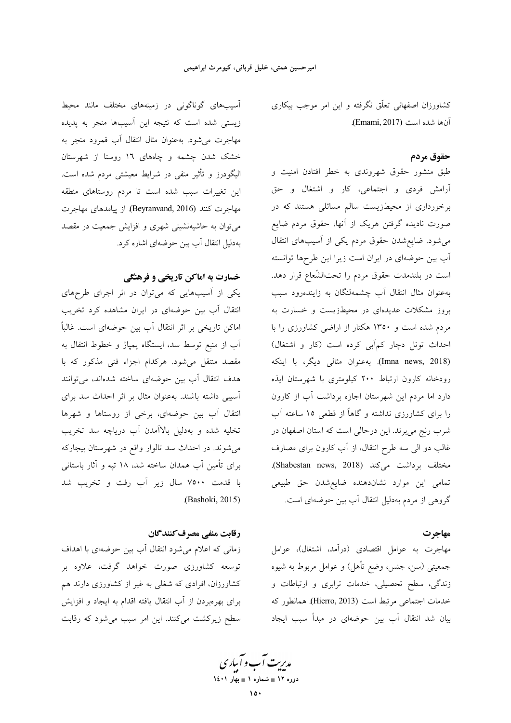کشاورزان اصفهانی تعلّق نگرفته و این امر موجب بیکاری آنها شده است (Emami, 2017).

## حقوق مردم

طبق منشور حقوق شهروندی به خطر افتادن امنیت و آرامش فردی و اجتماعی، کار و اشتغال و حق برخورداری از محیطزیست سالم مسائلی هستند که در صورت نادیده گرفتن هریک از آنها، حقوق مردم ضایع می شود. ضایع شدن حقوق مردم یکی از آسیبهای انتقال آب بین حوضهای در ایران است زیرا این طرحها توانسته است در بلندمدت حقوق مردم را تحتالشّعاع قرار دهد. بهعنوان مثال انتقال آب چشمهلنگان به زایندهرود سبب بروز مشکلات عدیدهای در محیطزیست و خسارت به مردم شده است و ۱۳۵۰ هکتار از اراضی کشاورزی را با احداث تونل دچار کم آبی کرده است (کار و اشتغال) (Imna news, 2018). به عنوان مثال<sub>ی</sub> دیگر، با اینکه رودخانه كارون ارتباط ٢٠٠ كيلومترى با شهرستان ايذه دارد اما مردم این شهرستان اجازه برداشت آب از کارون را برای کشاورزی نداشته و گاهاً از قطعی ۱۵ ساعته آب شرب رنج می برند. این درحالی است که استان اصفهان در غالب دو الی سه طرح انتقال، از آب کارون برای مصارف مختلف برداشت میکند (Shabestan news, 2018). تمامی این موارد نشاندهنده ضایع شدن حق طبیعی گروهی از مردم بهدلیل انتقال آب بین حوضهای است.

## مهاجرت

مهاجرت به عوامل اقتصادي (درآمد، اشتغال)، عوامل جمعیتی (سن، جنس، وضع تأهل) و عوامل مربوط به شیوه زندگی، سطح تحصیلی، خدمات ترابری و ارتباطات و خدمات اجتماعي مرتبط است (Hierro, 2013). همانطور كه بیان شد انتقال آب بین حوضهای در مبدأ سبب ایجاد

آسیبهای گوناگونی در زمینههای مختلف مانند محیط زیستی شده است که نتیجه این آسیبها منجر به پدیده مهاجرت مى شود. به عنوان مثال انتقال آب قمرود منجر به خشک شدن چشمه و چاههای ۱۲ روستا از شهرستان اليگودرز و تأثير منفي در شرايط معيشتي مردم شده است. این تغییرات سبب شده است تا مردم روستاهای منطقه مهاجرت كنند (Beyranvand, 2016). از پيامدهاي مهاجرت میتوان به حاشیهنشینی شهری و افزایش جمعیت در مقصد بهدلیل انتقال آب بین حوضهای اشاره کرد.

## خسارت به اماکن تاریخی و فرهنگی

یکی از آسیبهایی که میتوان در اثر اجرای طرحهای انتقال آب بین حوضهای در ایران مشاهده کرد تخریب اماکن تاریخی بر اثر انتقال آب بین حوضهای است. غالباً اَب از منبع توسط سد، ایستگاه پمپاژ و خطوط انتقال به مقصد منتقل میشود. هرکدام اجزاء فنی مذکور که با هدف انتقال أب بين حوضهاي ساخته شدهاند، مي توانند آسیبی داشته باشند. بهعنوان مثال بر اثر احداث سد برای انتقال آب بین حوضهای، برخی از روستاها و شهرها تخليه شده و بهدليل بالاأمدن أب درياچه سد تخريب میشوند. در احداث سد تالوار واقع در شهرستان بیجارکه برای تأمین آب همدان ساخته شد، ۱۸ تپه و آثار باستانی با قدمت ۷۵۰۰ سال زیر آب رفت و تخریب شد .(Bashoki, 2015)

## رقابت منفي مصرف كنندگان

زمانی که اعلام می شود انتقال آب بین حوضهای با اهداف توسعه کشاورزی صورت خواهد گرفت، علاوه بر کشاورزان، افرادی که شغلی به غیر از کشاورزی دارند هم برای بهرهبردن از آب انتقال یافته اقدام به ایجاد و افزایش سطح زیرکشت میکنند. این امر سبب می شود که رقابت

مدبریت آب و آباری ۔<br>دورہ ۱۲ ∎ شمارہ ۱ ∎ بھار ۱٤۰۱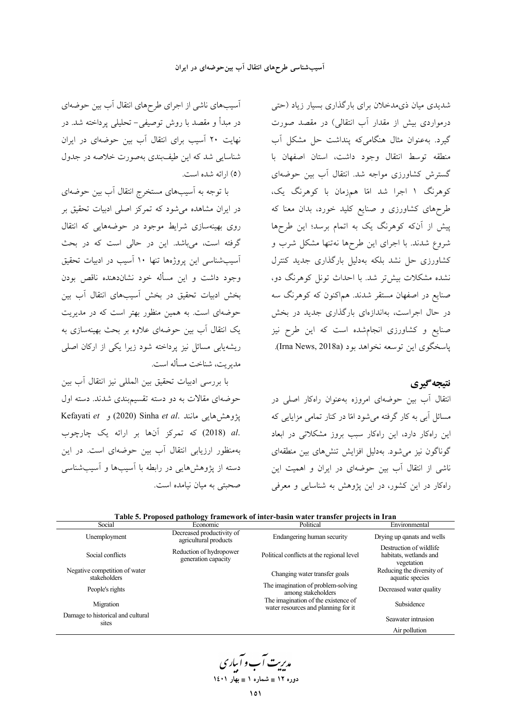آسیبهای ناشی از اجرای طرحهای انتقال آب بین حوضهای در مبدأ و مقصد با روش توصیفی– تحلیلی پرداخته شد. در نهایت ۲۰ آسیب برای انتقال آب بین حوضهای در ایران شناسایی شد که این طیفبندی بهصورت خلاصه در جدول (٥) ارائه شده است.

با توجه به آسیبهای مستخرج انتقال آب بین حوضهای در ایران مشاهده میشود که تمرکز اصلی ادبیات تحقیق بر روی بهینهسازی شرایط موجود در حوضههایی که انتقال گرفته است، میباشد. این در حالی است که در بحث آسیبشناسی این پروژهها تنها ۱۰ آسیب در ادبیات تحقیق وجود داشت و این مسأله خود نشاندهنده ناقص بودن بخش ادبیات تحقیق در بخش آسیبهای انتقال آب بین حوضهای است. به همین منظور بهتر است که در مدیریت یک انتقال آب بین حوضهای علاوه بر بحث بهینهسازی به ریشهیابی مسائل نیز پرداخته شود زیرا یکی از ارکان اصلی مدر بت، شناخت مسأله است.

با بررسی ادبیات تحقیق بین المللی نیز انتقال آب بین حوضهای مقالات به دو دسته تقسیم بندی شدند. دسته اول Kefayati et 1 (2020) Sinha et al. يژوهش هايبي مانند .al (2018) که تمرکز آنها بر ارائه یک چارچوب بهمنظور ارزیابی انتقال آب بین حوضهای است. در این دسته از پژوهشهایی در رابطه با آسیبها و آسیبشناسی صحبتی به میان نیامده است.

شدیدی میان ذیمدخلان برای بارگذاری بسیار زیاد (حتی درمواردی بیش از مقدار آب انتقالی) در مقصد صورت گیرد. به عنوان مثال هنگامی که پنداشت حل مشکل آب منطقه توسط انتقال وجود داشت، استان اصفهان با گسترش کشاورزی مواجه شد. انتقال آب بین حوضهای کوهرنگ ۱ اجرا شد امّا همزمان با کوهرنگ یک، طرحهای کشاورزی و صنایع کلید خورد، بدان معنا که پیش از آنکه کوهرنگ یک به اتمام برسد؛ این طرحها شروع شدند. با اجرای این طرحها نهتنها مشکل شرب و کشاورزی حل نشد بلکه بهدلیل بارگذاری جدید کنترل نشده مشکلات بیش تر شد. با احداث تونل کوهرنگ دو، صنایع در اصفهان مستقر شدند. هماکنون که کوهرنگ سه در حال اجراست، بهاندازهای بارگذاری جدید در بخش صنایع و کشاورزی انجامشده است که این طرح نیز پاسخگوی این توسعه نخواهد بود (Irna News, 2018a).

## نتيجه گيري

انتقال آب بین حوضهای امروزه بهعنوان راهکار اصلی در مسائل ابی به کار گرفته می شود امّا در کنار تمامی مزایایی که این راهکار دارد، این راهکار سبب بروز مشکلاتی در ابعاد گوناگون نیز میشود. بهدلیل افزایش تنشهای بین منطقهای ناشی از انتقال آب بین حوضهای در ایران و اهمیت این راهکار در این کشور، در این یژوهش به شناسایی و معرفی

|                                               | P <sub>2</sub>                                     |                                                                            |                                                                 |
|-----------------------------------------------|----------------------------------------------------|----------------------------------------------------------------------------|-----------------------------------------------------------------|
| Social                                        | Economic                                           | Political                                                                  | Environmental                                                   |
| Unemployment                                  | Decreased productivity of<br>agricultural products | Endangering human security                                                 | Drying up qanats and wells                                      |
| Social conflicts                              | Reduction of hydropower<br>generation capacity     | Political conflicts at the regional level                                  | Destruction of wildlife<br>habitats, wetlands and<br>vegetation |
| Negative competition of water<br>stakeholders |                                                    | Changing water transfer goals                                              | Reducing the diversity of<br>aquatic species                    |
| People's rights                               |                                                    | The imagination of problem-solving<br>among stakeholders                   | Decreased water quality                                         |
| Migration                                     |                                                    | The imagination of the existence of<br>water resources and planning for it | Subsidence                                                      |
| Damage to historical and cultural<br>sites    |                                                    |                                                                            | Seawater intrusion                                              |
|                                               |                                                    |                                                                            | Air pollution                                                   |

| Table 5. Proposed pathology framework of inter-basin water transfer projects in Iran |
|--------------------------------------------------------------------------------------|
|--------------------------------------------------------------------------------------|

مدریت آب و آبیاری دوره ۱۲ ∎ شماره ۱ ∎ بهار ۱٤۰۱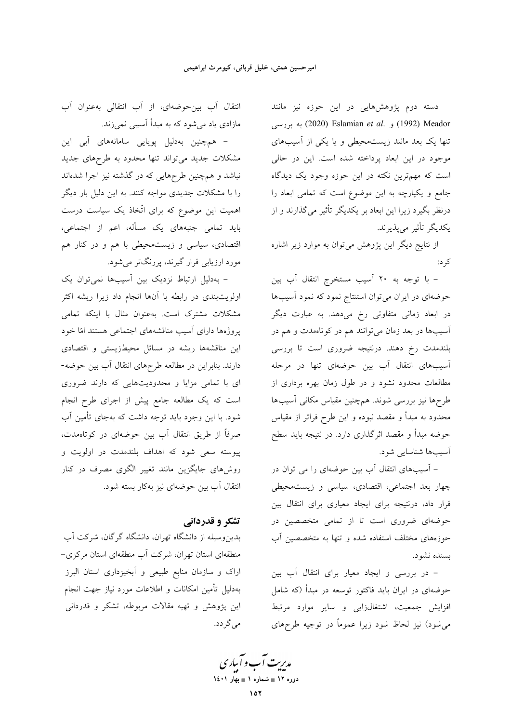دسته دوم پژوهشهایی در این حوزه نیز مانند به بررسی (1992) و Eslamian *et al.* ) به بررسی تنها یک بعد مانند زیستمحیطی و یا یکی از آسیبهای موجود در این ابعاد پرداخته شده است. این در حالی است که مهمترین نکته در این حوزه وجود یک دیدگاه جامع و یکپارچه به این موضوع است که تمامی ابعاد را درنظر بگیرد زیرا این ابعاد بر یکدیگر تأثیر میگذارند و از يكديگر تأثير ميپذيرند.

از نتایج دیگر این پژوهش میتوان به موارد زیر اشاره کر د:

- با توجه به ۲۰ آسیب مستخرج انتقال آب بین حوضهای در ایران می توان استنتاج نمود که نمود آسیبها در ابعاد زمانی متفاوتی رخ می<mark>دهد. به عبارت دیگر</mark> آسیبها در بعد زمان میتوانند هم در کوتاهمدت و هم در بلندمدت رخ دهند. درنتیجه ضروری است تا بررسی آسیبهای انتقال آب بین حوضهای تنها در مرحله مطالعات محدود نشود و در طول زمان بهره برداری از طرحها نیز بررسی شوند. همچنین مقیاس مکانی آسیبها محدود به مبدأ و مقصد نبوده و این طرح فراتر از مقیاس حوضه مبدأ و مقصد اثرگذاری دارد. در نتیجه باید سطح آسيبها شناسايي شود.

– آسیبهای انتقال آب بین حوضهای را می توان در چهار بعد اجتماعی، اقتصادی، سیاسی و زیستمحیطی قرار داد، درنتیجه برای ایجاد معیاری برای انتقال بین حوضهای ضروری است تا از تمامی متخصصین در حوزههای مختلف استفاده شده و تنها به متخصصین آب بسنده نشود.

- در بررسی و ایجاد معیار برای انتقال آب بین حوضهای در ایران باید فاکتور توسعه در مبدأ (که شامل افزایش جمعیت، اشتغالزایی و سایر موارد مرتبط می شود) نیز لحاظ شود زیرا عموماً در توجیه طرحهای

انتقال آب بين حوضهاي، از آب انتقالي به عنوان آب مازادی یاد می شود که به مبدأ آسیبی نمی زند.

– همچنین بهدلیل پویایی سامانههای آب<sub>ی</sub> این مشکلات جدید میتواند تنها محدود به طرحهای جدید نباشد و همچنین طرحهایی که در گذشته نیز اجرا شدهاند را با مشکلات جدیدی مواجه کنند. به این دلیل بار دیگر اهمیت این موضوع که برای اتّخاذ یک سیاست درست باید تمامی جنبههای یک مسأله، اعم از اجتماعی، اقتصادی، سیاسی و زیست.حیطی با هم و در کنار هم مورد ارزیابی قرار گیرند، پررنگتر میشود.

– بەدلیل ارتباط نزدیک بین آسیبھا نمیتوان یک اولویتبندی در رابطه با آنها انجام داد زیرا ریشه اکثر مشکلات مشترک است. بهعنوان مثال با اینکه تمامی پروژهها دارای آسیب مناقشههای اجتماعی هستند امّا خود این مناقشهها ریشه در مسائل محیطزیستی و اقتصادی دارند. بنابراین در مطالعه طرحهای انتقال آب بین حوضه-ای با تمامی مزایا و محدودیتهایی که دارند ضروری است که یک مطالعه جامع پیش از اجرای طرح انجام شود. با این وجود باید توجه داشت که بهجای تأمین آب صرفاً از طریق انتقال آب بین حوضهای در کوتاهمدت، پیوسته سعی شود که اهداف بلندمدت در اولویت و روشهای جایگزین مانند تغییر الگوی مصرف در کنار انتقال آب بین حوضهای نیز بهکار بسته شود.

## تشکر و قدردانی

بدین وسیله از دانشگاه تهران، دانشگاه گرگان، شرکت آب منطقهای استان تهران، شرکت آب منطقهای استان مرکزی-اراک و سازمان منابع طبیعی و آبخیزداری استان البرز بهدلیل تأمین امکانات و اطلاعات مورد نیاز جهت انجام این پژوهش و تهیه مقالات مربوطه، تشکر و قدردانی مے گر دد.

مدیریت آب و آباری دوره ۱۲ ∎ شماره ۱ ∎ بهار ۱٤۰۱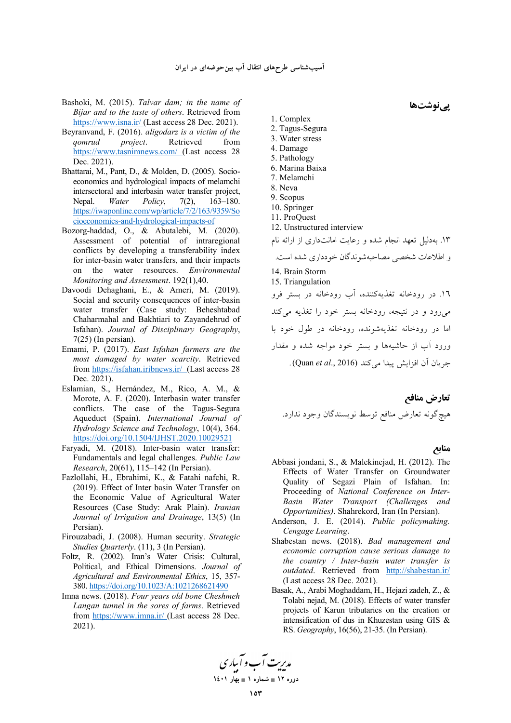- Bashoki, M. (2015). *Talvar dam; in the name of Bijar and to the taste of others*. Retrieved from https://www.isna.ir/ (Last access 28 Dec. 2021).
- Beyranvand, F. (2016). *aligodarz is a victim of the qomrud project*. Retrieved from https://www.tasnimnews.com/ (Last access 28 Dec. 2021).
- Bhattarai, M., Pant, D., & Molden, D. (2005). Socioeconomics and hydrological impacts of melamchi intersectoral and interbasin water transfer project, Nepal. *Water Policy*, 7(2), 163–180. https://iwaponline.com/wp/article/7/2/163/9359/So cioeconomics-and-hydrological-impacts-of
- Bozorg-haddad, O., & Abutalebi, M. (2020). Assessment of potential of intraregional conflicts by developing a transferability index for inter-basin water transfers, and their impacts on the water resources. *Environmental Monitoring and Assessment*. 192(1),40.
- Davoodi Dehaghani, E., & Ameri, M. (2019). Social and security consequences of inter-basin water transfer (Case study: Beheshtabad Chaharmahal and Bakhtiari to Zayandehrud of Isfahan). *Journal of Disciplinary Geography*, 7(25) (In persian).
- Emami, P. (2017). *East Isfahan farmers are the most damaged by water scarcity*. Retrieved from https://isfahan.iribnews.ir/ (Last access 28 Dec. 2021).
- Eslamian, S., Hernández, M., Rico, A. M., & Morote, A. F. (2020). Interbasin water transfer conflicts. The case of the Tagus-Segura Aqueduct (Spain). *International Journal of Hydrology Science and Technology*, 10(4), 364. https://doi.org/10.1504/IJHST.2020.10029521
- Faryadi, M. (2018). Inter-basin water transfer: Fundamentals and legal challenges. *Public Law Research*, 20(61), 115–142 (In Persian).
- Fazlollahi, H., Ebrahimi, K., & Fatahi nafchi, R. (2019). Effect of Inter basin Water Transfer on the Economic Value of Agricultural Water Resources (Case Study: Arak Plain). *Iranian Journal of Irrigation and Drainage*, 13(5) (In Persian).
- Firouzabadi, J. (2008). Human security. *Strategic Studies Quarterly*. (11), 3 (In Persian).
- Foltz, R. (2002). Iran's Water Crisis: Cultural, Political, and Ethical Dimensions. *Journal of Agricultural and Environmental Ethics*, 15, 357- 380. https://doi.org/10.1023/A:1021268621490
- Imna news. (2018). *Four years old bone Cheshmeh Langan tunnel in the sores of farms*. Retrieved from https://www.imna.ir/ (Last access 28 Dec. 2021).

1. Complex

- 2. Tagus-Segura
- 3. Water stress
- 4. Damage
- 5. Pathology
- 6. Marina Baixa 7. Melamchi
- 8. Neva
- 9. Scopus
- 10. Springer
- 11. ProQuest
- 12. Unstructured interview
- ۱۳. بهدلیل تعهد انجام شده و رعایت امانتداری از ارائه نام و اطلاعات شخصی مصاحبهشوندگان خودداری شده است. 14. Brain Storm 15. Triangulation ۱٦. در رودخانه تغذیهکننده، أب رودخانه در بستر فرو <sub>می</sub>رود و در نتیجه، رودخانه بستر خود را تغذیه میکند ما در رودخانه تغذیهشونده، رودخانه در طول خود با ورود آب از حاشیهها و بستر خود مواجه شده و مقدار جريان آن افزايش پيدا م<sub>ي</sub>كند (Quan *et al.*, 2016).

تعارض مناف*ع* هيچگونه تعارض منافع توسط نويسندگان وجود ندارد.

#### **منابع**

- Abbasi jondani, S., & Malekinejad, H. (2012). The Effects of Water Transfer on Groundwater Quality of Segazi Plain of Isfahan. In: Proceeding of *National Conference on Inter-Basin Water Transport (Challenges and Opportunities)*. Shahrekord, Iran (In Persian).
- Anderson, J. E. (2014). *Public policymaking. Cengage Learning*.
- Shabestan news. (2018). *Bad management and economic corruption cause serious damage to the country / Inter-basin water transfer is outdated*. Retrieved from http://shabestan.ir/ (Last access 28 Dec. 2021).
- Basak, A., Arabi Moghaddam, H., Hejazi zadeh, Z., & Tolabi nejad, M. (2018). Effects of water transfer projects of Karun tributaries on the creation or intensification of dus in Khuzestan using GIS & RS. *Geography*, 16(56), 21-35. (In Persian).

م*ەربت آ*ب و آبارى **1401  1 - 12 -**

**پینوشتها**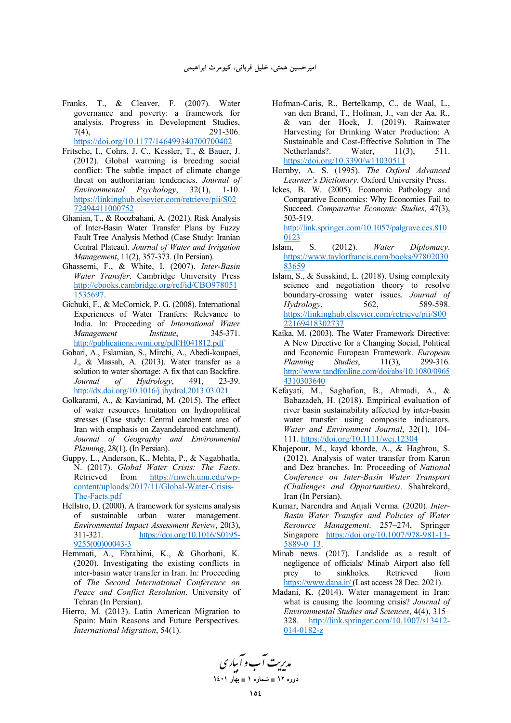- Franks, T., & Cleaver, F. (2007). Water governance and poverty: a framework for analysis. Progress in Development Studies, 7(4), 291-306. https://doi.org/10.1177/146499340700700402
- Fritsche, I., Cohrs, J. C., Kessler, T., & Bauer, J. (2012). Global warming is breeding social conflict: The subtle impact of climate change threat on authoritarian tendencies. *Journal of Environmental Psychology*, 32(1), 1-10. https://linkinghub.elsevier.com/retrieve/pii/S02 72494411000752
- Ghanian, T., & Roozbahani, A. (2021). Risk Analysis of Inter-Basin Water Transfer Plans by Fuzzy Fault Tree Analysis Method (Case Study: Iranian Central Plateau). *Journal of Water and Irrigation Management*, 11(2), 357-373. (In Persian).
- Ghassemi, F., & White, I. (2007). *Inter-Basin Water Transfer*. Cambridge University Press http://ebooks.cambridge.org/ref/id/CBO978051 1535697.
- Gichuki, F., & McCornick, P. G. (2008). International Experiences of Water Tranfers: Relevance to India. In: Proceeding of *International Water Management Institute*, http://publications.iwmi.org/pdf/H041812.pdf
- Gohari, A., Eslamian, S., Mirchi, A., Abedi-koupaei, J., & Massah, A. (2013). Water transfer as a solution to water shortage: A fix that can Backfire. *Journal of Hydrology*, 491, 23-39. http://dx.doi.org/10.1016/j.jhydrol.2013.03.021
- Golkarami, A., & Kavianirad, M. (2015). The effect of water resources limitation on hydropolitical stresses (Case study: Central catchment area of Iran with emphasis on Zayandehrood catchment). *Journal of Geography and Environmental Planning*, 28(1). (In Persian).
- Guppy, L., Anderson, K., Mehta, P., & Nagabhatla, N. (2017). *Global Water Crisis: The Facts*. Retrieved from https://inweh.unu.edu/wpcontent/uploads/2017/11/Global-Water-Crisis-The-Facts.pdf
- Hellstro, D. (2000). A framework for systems analysis of sustainable urban water management. *Environmental Impact Assessment Review*, 20(3), 311-321. https://doi.org/10.1016/S0195- 9255(00)00043-3
- Hemmati, A., Ebrahimi, K., & Ghorbani, K. (2020). Investigating the existing conflicts in inter-basin water transfer in Iran. In: Proceeding of *The Second International Conference on Peace and Conflict Resolution*. University of Tehran (In Persian).
- Hierro, M. (2013). Latin American Migration to Spain: Main Reasons and Future Perspectives. *International Migration*, 54(1).
- Hofman-Caris, R., Bertelkamp, C., de Waal, L., van den Brand, T., Hofman, J., van der Aa, R., & van der Hoek, J. (2019). Rainwater Harvesting for Drinking Water Production: A Sustainable and Cost-Effective Solution in The Netherlands?. Water, 11(3), 511. https://doi.org/10.3390/w11030511
- Hornby, A. S. (1995). *The Oxford Advanced Learner's Dictionary*. Oxford University Press.
- Ickes, B. W. (2005). Economic Pathology and Comparative Economics: Why Economies Fail to Succeed. *Comparative Economic Studies*, 47(3), 503-519.

http://link.springer.com/10.1057/palgrave.ces.810 0123

- Islam, S. (2012). *Water Diplomacy*. https://www.taylorfrancis.com/books/97802030 83659
- Islam, S., & Susskind, L. (2018). Using complexity science and negotiation theory to resolve boundary-crossing water issues*. Journal of Hydrology*, 562, 589-598. https://linkinghub.elsevier.com/retrieve/pii/S00 22169418302737
- Kaika, M. (2003). The Water Framework Directive: A New Directive for a Changing Social, Political and Economic European Framework. *European Planning Studies*, 11(3), 299-316. http://www.tandfonline.com/doi/abs/10.1080/0965 4310303640
- Kefayati, M., Saghafian, B., Ahmadi, A., & Babazadeh, H. (2018). Empirical evaluation of river basin sustainability affected by inter-basin water transfer using composite indicators. *Water and Environment Journal*, 32(1), 104- 111. https://doi.org/10.1111/wej.12304
- Khajepour, M., kayd khorde, A., & Haghrou, S. (2012). Analysis of water transfer from Karun and Dez branches. In: Proceeding of *National Conference on Inter-Basin Water Transport (Challenges and Opportunities)*. Shahrekord, Iran (In Persian).
- Kumar, Narendra and Anjali Verma. (2020). *Inter-Basin Water Transfer and Policies of Water Resource Management*. 257–274, Springer Singapore https://doi.org/10.1007/978-981-13- 5889-0\_13.
- Minab news. (2017). Landslide as a result of negligence of officials/ Minab Airport also fell prey to sinkholes. Retrieved from https://www.dana.ir/ (Last access 28 Dec. 2021).
- Madani, K. (2014). Water management in Iran: what is causing the looming crisis? *Journal of Environmental Studies and Sciences*, 4(4), 315– 328. http://link.springer.com/10.1007/s13412- 014-0182-z

 **1401  1 - 12 -**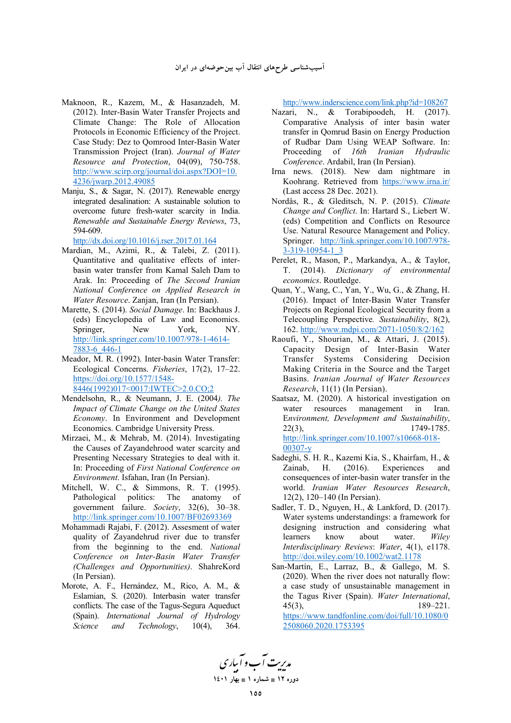- Maknoon, R., Kazem, M., & Hasanzadeh, M. (2012). Inter-Basin Water Transfer Projects and Climate Change: The Role of Allocation Protocols in Economic Efficiency of the Project. Case Study: Dez to Qomrood Inter-Basin Water Transmission Project (Iran). *Journal of Water Resource and Protection*, 04(09), 750-758. http://www.scirp.org/journal/doi.aspx?DOI=10. 4236/jwarp.2012.49085
- Manju, S., & Sagar, N. (2017). Renewable energy integrated desalination: A sustainable solution to overcome future fresh-water scarcity in India. *Renewable and Sustainable Energy Reviews*, 73, 594-609.

http://dx.doi.org/10.1016/j.rser.2017.01.164

- Mardian, M., Azimi, R., & Talebi, Z. (2011). Quantitative and qualitative effects of interbasin water transfer from Kamal Saleh Dam to Arak. In: Proceeding of *The Second Iranian National Conference on Applied Research in Water Resource*. Zanjan, Iran (In Persian).
- Marette, S. (2014). *Social Damage*. In: Backhaus J. (eds) Encyclopedia of Law and Economics. Springer, New York, NY. http://link.springer.com/10.1007/978-1-4614- 7883-6\_446-1
- Meador, M. R. (1992). Inter-basin Water Transfer: Ecological Concerns. *Fisheries*, 17(2), 17–22. https://doi.org/10.1577/1548- 8446(1992)017<0017:IWTEC>2.0.CO;2
- Mendelsohn, R., & Neumann, J. E. (2004*). The Impact of Climate Change on the United States Economy*. In Environment and Development Economics. Cambridge University Press.
- Mirzaei, M., & Mehrab, M. (2014). Investigating the Causes of Zayandehrood water scarcity and Presenting Necessary Strategies to deal with it. In: Proceeding of *First National Conference on Environment*. Isfahan, Iran (In Persian).
- Mitchell, W. C., & Simmons, R. T. (1995). Pathological politics: The anatomy of government failure. *Society*, 32(6), 30–38. http://link.springer.com/10.1007/BF02693369
- Mohammadi Rajabi, F. (2012). Assesment of water quality of Zayandehrud river due to transfer from the beginning to the end. *National Conference on Inter-Basin Water Transfer (Challenges and Opportunities)*. ShahreKord (In Persian).
- Morote, A. F., Hernández, M., Rico, A. M., & Eslamian, S. (2020). Interbasin water transfer conflicts. The case of the Tagus-Segura Aqueduct (Spain). *International Journal of Hydrology Science and Technology*, 10(4), 364.

http://www.inderscience.com/link.php?id=108267

- Nazari, N., & Torabipoodeh, H. (2017). Comparative Analysis of inter basin water transfer in Qomrud Basin on Energy Production of Rudbar Dam Using WEAP Software. In: Proceeding of *16th Iranian Hydraulic Conference*. Ardabil, Iran (In Persian).
- Irna news. (2018). New dam nightmare in Koohrang. Retrieved from https://www.irna.ir/ (Last access 28 Dec. 2021).
- Nordås, R., & Gleditsch, N. P. (2015). *Climate Change and Conflict*. In: Hartard S., Liebert W. (eds) Competition and Conflicts on Resource Use. Natural Resource Management and Policy. Springer. http://link.springer.com/10.1007/978- 3-319-10954-1\_3
- Perelet, R., Mason, P., Markandya, A., & Taylor, T. (2014). *Dictionary of environmental economics*. Routledge.
- Quan, Y., Wang, C., Yan, Y., Wu, G., & Zhang, H. (2016). Impact of Inter‐Basin Water Transfer Projects on Regional Ecological Security from a Telecoupling Perspective*. Sustainability*, 8(2), 162. http://www.mdpi.com/2071-1050/8/2/162
- Raoufi, Y., Shourian, M., & Attari, J. (2015). Capacity Design of Inter-Basin Water Transfer Systems Considering Decision Making Criteria in the Source and the Target Basins. *Iranian Journal of Water Resources Research*, 11(1) (In Persian).
- Saatsaz, M. (2020). A historical investigation on water resources management in Iran. E*nvironment, Development and Sustainability*, 22(3), 1749-1785. http://link.springer.com/10.1007/s10668-018- 00307-y
- Sadeghi, S. H. R., Kazemi Kia, S., Khairfam, H., & Zainab, H. (2016). Experiences and consequences of inter-basin water transfer in the world. *Iranian Water Resources Research*, 12(2), 120–140 (In Persian).
- Sadler, T. D., Nguyen, H., & Lankford, D. (2017). Water systems understandings: a framework for designing instruction and considering what learners know about water. *Wiley Interdisciplinary Reviews*: *Water*, 4(1), e1178. http://doi.wiley.com/10.1002/wat2.1178
- San-Martín, E., Larraz, B., & Gallego, M. S. (2020). When the river does not naturally flow: a case study of unsustainable management in the Tagus River (Spain). *Water International*, 45(3), 189–221.

https://www.tandfonline.com/doi/full/10.1080/0 2508060.2020.1753395

مدیریت آب و آباری **1401  1 - 12 -**